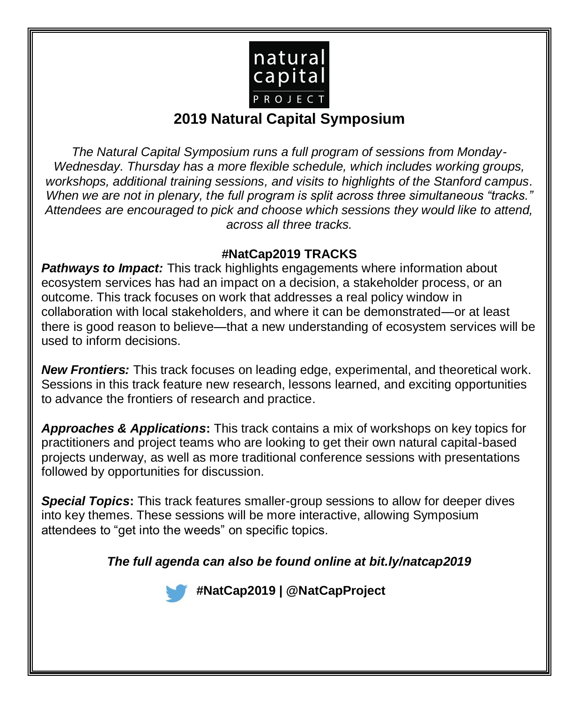

# **2019 Natural Capital Symposium**

*The Natural Capital Symposium runs a full program of sessions from Monday-Wednesday. Thursday has a more flexible schedule, which includes working groups, workshops, additional training sessions, and visits to highlights of the Stanford campus. When we are not in plenary, the full program is split across three simultaneous "tracks." Attendees are encouraged to pick and choose which sessions they would like to attend, across all three tracks.*

## **#NatCap2019 TRACKS**

*Pathways to Impact:* This track highlights engagements where information about ecosystem services has had an impact on a decision, a stakeholder process, or an outcome. This track focuses on work that addresses a real policy window in collaboration with local stakeholders, and where it can be demonstrated—or at least there is good reason to believe—that a new understanding of ecosystem services will be used to inform decisions.

*New Frontiers:* This track focuses on leading edge, experimental, and theoretical work. Sessions in this track feature new research, lessons learned, and exciting opportunities to advance the frontiers of research and practice.

*Approaches & Applications***:** This track contains a mix of workshops on key topics for practitioners and project teams who are looking to get their own natural capital-based projects underway, as well as more traditional conference sessions with presentations followed by opportunities for discussion.

*Special Topics***:** This track features smaller-group sessions to allow for deeper dives into key themes. These sessions will be more interactive, allowing Symposium attendees to "get into the weeds" on specific topics.

*The full agenda can also be found online at bit.ly/natcap2019*

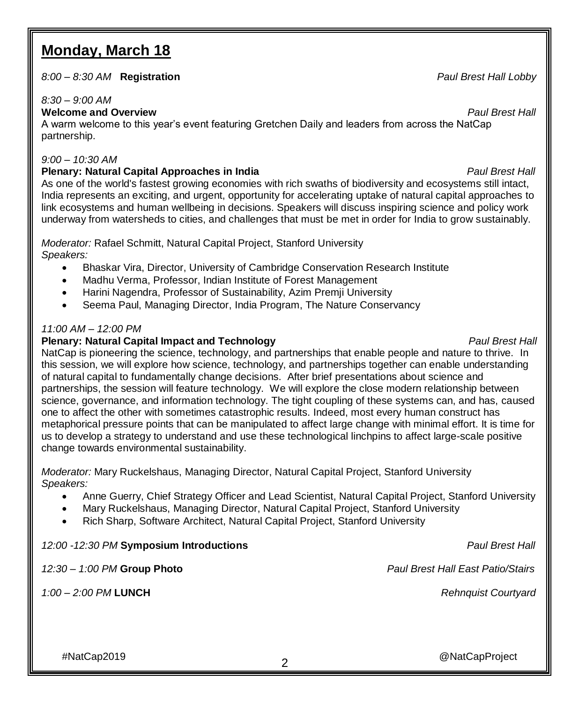# **Monday, March 18**

*8:00 – 8:30 AM* **Registration** *Paul Brest Hall Lobby* 

#### *8:30 – 9:00 AM*

### **Welcome and Overview** *Paul Brest Hall*

A warm welcome to this year's event featuring Gretchen Daily and leaders from across the NatCap partnership.

### *9:00 – 10:30 AM*

#### **Plenary: Natural Capital Approaches in India** *Paul Brest Hall*

As one of the world's fastest growing economies with rich swaths of biodiversity and ecosystems still intact, India represents an exciting, and urgent, opportunity for accelerating uptake of natural capital approaches to link ecosystems and human wellbeing in decisions. Speakers will discuss inspiring science and policy work underway from watersheds to cities, and challenges that must be met in order for India to grow sustainably.

*Moderator:* Rafael Schmitt, Natural Capital Project, Stanford University *Speakers:*

- Bhaskar Vira, Director, University of Cambridge Conservation Research Institute
- Madhu Verma, Professor, Indian Institute of Forest Management
- Harini Nagendra, Professor of Sustainability, Azim Premji University
- Seema Paul, Managing Director, India Program, The Nature Conservancy

#### *11:00 AM – 12:00 PM*

**Plenary: Natural Capital Impact and Technology** *Paul Brest Hall* NatCap is pioneering the science, technology, and partnerships that enable people and nature to thrive. In this session, we will explore how science, technology, and partnerships together can enable understanding of natural capital to fundamentally change decisions. After brief presentations about science and partnerships, the session will feature technology. We will explore the close modern relationship between science, governance, and information technology. The tight coupling of these systems can, and has, caused one to affect the other with sometimes catastrophic results. Indeed, most every human construct has metaphorical pressure points that can be manipulated to affect large change with minimal effort. It is time for us to develop a strategy to understand and use these technological linchpins to affect large-scale positive

*Moderator:* Mary Ruckelshaus, Managing Director, Natural Capital Project, Stanford University *Speakers:* 

- Anne Guerry, Chief Strategy Officer and Lead Scientist, Natural Capital Project, Stanford University
- Mary Ruckelshaus, Managing Director, Natural Capital Project, Stanford University
- Rich Sharp, Software Architect, Natural Capital Project, Stanford University

#### *12:00 -12:30 PM* **Symposium Introductions** *Paul Brest Hall*

change towards environmental sustainability.

*12:30 – 1:00 PM* **Group Photo** *Paul Brest Hall East Patio/Stairs*

*1:00 – 2:00 PM* **LUNCH** *Rehnquist Courtyard*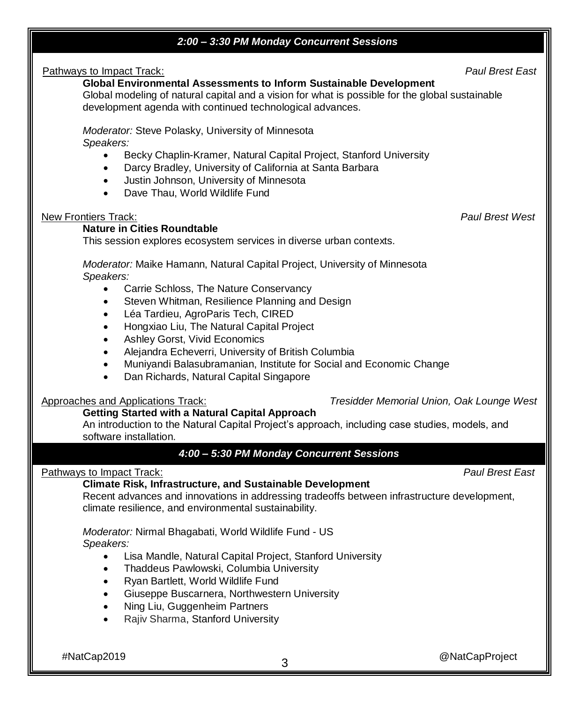#### *2:00 – 3:30 PM Monday Concurrent Sessions*

Pathways to Impact Track: *Paul Brest East*

### **Global Environmental Assessments to Inform Sustainable Development**

Global modeling of natural capital and a vision for what is possible for the global sustainable development agenda with continued technological advances.

*Moderator:* Steve Polasky, University of Minnesota *Speakers:*

- Becky Chaplin-Kramer, Natural Capital Project, Stanford University
- Darcy Bradley, University of California at Santa Barbara
- Justin Johnson, University of Minnesota
- Dave Thau, World Wildlife Fund

#### New Frontiers Track: *Paul Brest West*

#### **Nature in Cities Roundtable**

This session explores ecosystem services in diverse urban contexts.

*Moderator:* Maike Hamann, Natural Capital Project, University of Minnesota *Speakers:*

- Carrie Schloss, The Nature Conservancy
- Steven Whitman, Resilience Planning and Design
- Léa Tardieu, AgroParis Tech, CIRED
- Hongxiao Liu, The Natural Capital Project
- Ashley Gorst, Vivid Economics
- Alejandra Echeverri, University of British Columbia
- Muniyandi Balasubramanian, Institute for Social and Economic Change
- Dan Richards, Natural Capital Singapore

#### Approaches and Applications Track: *Tresidder Memorial Union, Oak Lounge West*

### **Getting Started with a Natural Capital Approach**

An introduction to the Natural Capital Project's approach, including case studies, models, and software installation.

#### *4:00 – 5:30 PM Monday Concurrent Sessions*

#### Pathways to Impact Track: *Paul Brest East*

#### **Climate Risk, Infrastructure, and Sustainable Development**

Recent advances and innovations in addressing tradeoffs between infrastructure development, climate resilience, and environmental sustainability.

*Moderator:* Nirmal Bhagabati, World Wildlife Fund - US *Speakers:* 

- Lisa Mandle, Natural Capital Project, Stanford University
- Thaddeus Pawlowski, Columbia University
- Ryan Bartlett, World Wildlife Fund
- Giuseppe Buscarnera, Northwestern University
- Ning Liu, Guggenheim Partners
- Rajiv Sharma, Stanford University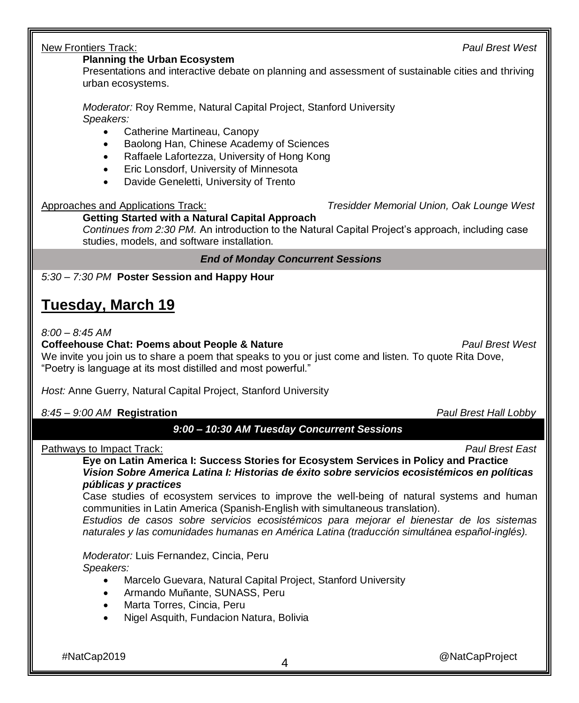#NatCap2019 @NatCapProject <sup>4</sup>

### New Frontiers Track: *Paul Brest West*

#### **Planning the Urban Ecosystem**

Presentations and interactive debate on planning and assessment of sustainable cities and thriving urban ecosystems.

*Moderator:* Roy Remme, Natural Capital Project, Stanford University *Speakers:*

- Catherine Martineau, Canopy
- Baolong Han, Chinese Academy of Sciences
- Raffaele Lafortezza, University of Hong Kong
- Eric Lonsdorf, University of Minnesota
- Davide Geneletti, University of Trento

**Getting Started with a Natural Capital Approach**  *Continues from 2:30 PM.* An introduction to the Natural Capital Project's approach, including case studies, models, and software installation.

#### *End of Monday Concurrent Sessions*

### *5:30 – 7:30 PM* **Poster Session and Happy Hour**

# **Tuesday, March 19**

#### *8:00 – 8:45 AM*

#### **Coffeehouse Chat: Poems about People & Nature** *Paul Brest West*

We invite you join us to share a poem that speaks to you or just come and listen. To quote Rita Dove, "Poetry is language at its most distilled and most powerful."

*Host:* Anne Guerry, Natural Capital Project, Stanford University

### *8:45 – 9:00 AM* **Registration** *Paul Brest Hall Lobby*

*9:00 – 10:30 AM Tuesday Concurrent Sessions*

#### Pathways to Impact Track: *Paul Brest East*

**Eye on Latin America I: Success Stories for Ecosystem Services in Policy and Practice** *Vision Sobre America Latina I: Historias de éxito sobre servicios ecosistémicos en políticas públicas y practices*

Case studies of ecosystem services to improve the well-being of natural systems and human communities in Latin America (Spanish-English with simultaneous translation).

*Estudios de casos sobre servicios ecosistémicos para mejorar el bienestar de los sistemas naturales y las comunidades humanas en América Latina (traducción simultánea español-inglés).*

*Moderator:* Luis Fernandez, Cincia, Peru *Speakers:*

- Marcelo Guevara, Natural Capital Project, Stanford University
- Armando Muñante, SUNASS, Peru
- Marta Torres, Cincia, Peru
- Nigel Asquith, Fundacion Natura, Bolivia

Approaches and Applications Track: *Tresidder Memorial Union, Oak Lounge West*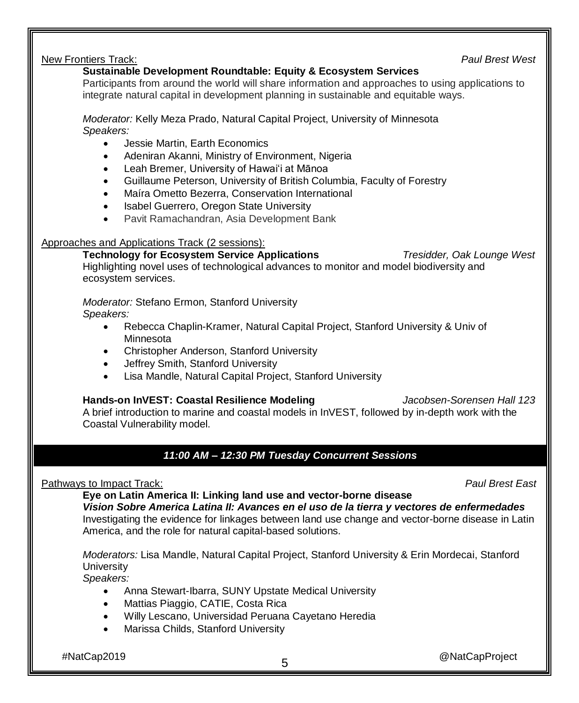#### New Frontiers Track: *Paul Brest West*

#### **Sustainable Development Roundtable: Equity & Ecosystem Services**

Participants from around the world will share information and approaches to using applications to integrate natural capital in development planning in sustainable and equitable ways.

*Moderator:* Kelly Meza Prado, Natural Capital Project, University of Minnesota *Speakers:* 

- Jessie Martin, Earth Economics
- Adeniran Akanni, Ministry of Environment, Nigeria
- Leah Bremer, University of Hawaiʻi at Mānoa
- Guillaume Peterson, University of British Columbia, Faculty of Forestry
- Maíra Ometto Bezerra, Conservation International
- Isabel Guerrero, Oregon State University
- Pavit Ramachandran, Asia Development Bank

#### Approaches and Applications Track (2 sessions):

**Technology for Ecosystem Service Applications** *Tresidder, Oak Lounge West* Highlighting novel uses of technological advances to monitor and model biodiversity and ecosystem services.

#### *Moderator:* Stefano Ermon, Stanford University *Speakers:*

- Rebecca Chaplin-Kramer, Natural Capital Project, Stanford University & Univ of Minnesota
- Christopher Anderson, Stanford University
- Jeffrey Smith, Stanford University
- Lisa Mandle, Natural Capital Project, Stanford University

## **Hands-on InVEST: Coastal Resilience Modeling** *Jacobsen-Sorensen Hall 123*

A brief introduction to marine and coastal models in InVEST, followed by in-depth work with the Coastal Vulnerability model.

### *11:00 AM – 12:30 PM Tuesday Concurrent Sessions*

Pathways to Impact Track: *Paul Brest East*

**Eye on Latin America II: Linking land use and vector-borne disease**

*Vision Sobre America Latina II: Avances en el uso de la tierra y vectores de enfermedades* Investigating the evidence for linkages between land use change and vector-borne disease in Latin America, and the role for natural capital-based solutions.

*Moderators:* Lisa Mandle, Natural Capital Project, Stanford University & Erin Mordecai, Stanford **University** 

*Speakers:*

- Anna Stewart-Ibarra, SUNY Upstate Medical University
- Mattias Piaggio, CATIE, Costa Rica
- Willy Lescano, Universidad Peruana Cayetano Heredia
- Marissa Childs, Stanford University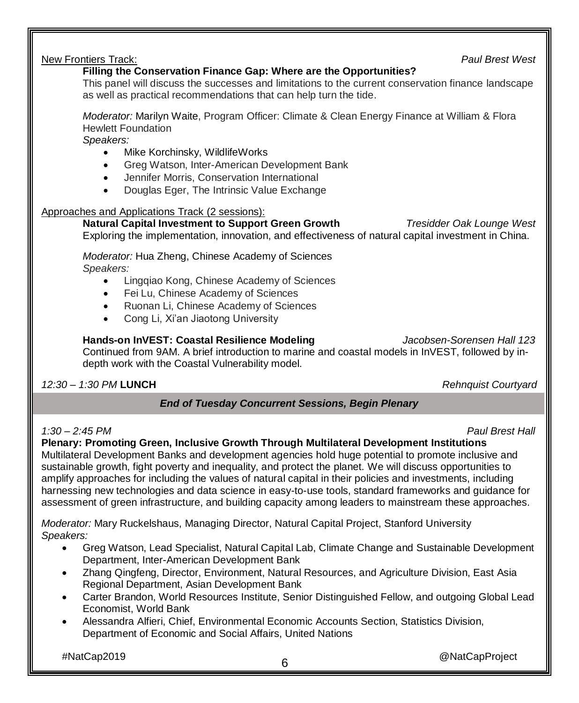## New Frontiers Track: *Paul Brest West* **Filling the Conservation Finance Gap: Where are the Opportunities?**  This panel will discuss the successes and limitations to the current conservation finance landscape as well as practical recommendations that can help turn the tide. *Moderator:* Marilyn Waite, Program Officer: Climate & Clean Energy Finance at William & Flora Hewlett Foundation *Speakers:*  • Mike Korchinsky, WildlifeWorks • Greg Watson, Inter-American Development Bank • Jennifer Morris, Conservation International • Douglas Eger, The Intrinsic Value Exchange

#### Approaches and Applications Track (2 sessions):

**Natural Capital Investment to Support Green Growth** *Tresidder Oak Lounge West* Exploring the implementation, innovation, and effectiveness of natural capital investment in China.

*Moderator:* Hua Zheng, Chinese Academy of Sciences *Speakers:* 

- Lingqiao Kong, Chinese Academy of Sciences
- Fei Lu, Chinese Academy of Sciences
- Ruonan Li, Chinese Academy of Sciences
- Cong Li, Xi'an Jiaotong University

#### **Hands-on InVEST: Coastal Resilience Modeling** *Jacobsen-Sorensen Hall 123*

Continued from 9AM. A brief introduction to marine and coastal models in InVEST, followed by indepth work with the Coastal Vulnerability model.

### *12:30 – 1:30 PM* **LUNCH** *Rehnquist Courtyard*

### *End of Tuesday Concurrent Sessions, Begin Plenary*

*1:30 – 2:45 PM Paul Brest Hall*

**Plenary: Promoting Green, Inclusive Growth Through Multilateral Development Institutions** Multilateral Development Banks and development agencies hold huge potential to promote inclusive and sustainable growth, fight poverty and inequality, and protect the planet. We will discuss opportunities to

amplify approaches for including the values of natural capital in their policies and investments, including harnessing new technologies and data science in easy-to-use tools, standard frameworks and guidance for assessment of green infrastructure, and building capacity among leaders to mainstream these approaches.

*Moderator:* Mary Ruckelshaus, Managing Director, Natural Capital Project, Stanford University *Speakers:* 

- Greg Watson, Lead Specialist, Natural Capital Lab, Climate Change and Sustainable Development Department, Inter-American Development Bank
- Zhang Qingfeng, Director, Environment, Natural Resources, and Agriculture Division, East Asia Regional Department, Asian Development Bank
- Carter Brandon, World Resources Institute, Senior Distinguished Fellow, and outgoing Global Lead Economist, World Bank
- Alessandra Alfieri, Chief, Environmental Economic Accounts Section, Statistics Division, Department of Economic and Social Affairs, United Nations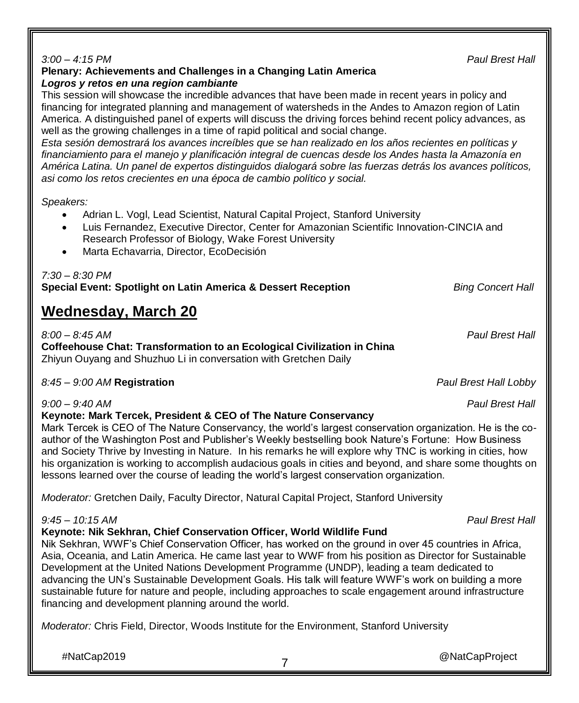| financing for integrated planning and management of watersheds in the Andes to Amazon region of Latin<br>America. A distinguished panel of experts will discuss the driving forces behind recent policy advances, as<br>well as the growing challenges in a time of rapid political and social change.<br>Esta sesión demostrará los avances increíbles que se han realizado en los años recientes en políticas y<br>financiamiento para el manejo y planificación integral de cuencas desde los Andes hasta la Amazonía en<br>América Latina. Un panel de expertos distinguidos dialogará sobre las fuerzas detrás los avances políticos,<br>asi como los retos crecientes en una época de cambio político y social. |                          |
|-----------------------------------------------------------------------------------------------------------------------------------------------------------------------------------------------------------------------------------------------------------------------------------------------------------------------------------------------------------------------------------------------------------------------------------------------------------------------------------------------------------------------------------------------------------------------------------------------------------------------------------------------------------------------------------------------------------------------|--------------------------|
| Speakers:<br>Adrian L. Vogl, Lead Scientist, Natural Capital Project, Stanford University<br>$\bullet$<br>Luis Fernandez, Executive Director, Center for Amazonian Scientific Innovation-CINCIA and<br>$\bullet$<br>Research Professor of Biology, Wake Forest University<br>Marta Echavarria, Director, EcoDecisión<br>$\bullet$                                                                                                                                                                                                                                                                                                                                                                                     |                          |
| $7:30 - 8:30$ PM<br>Special Event: Spotlight on Latin America & Dessert Reception                                                                                                                                                                                                                                                                                                                                                                                                                                                                                                                                                                                                                                     | <b>Bing Concert Hall</b> |
| <b>Wednesday, March 20</b>                                                                                                                                                                                                                                                                                                                                                                                                                                                                                                                                                                                                                                                                                            |                          |
| $8:00 - 8:45 AM$<br>Coffeehouse Chat: Transformation to an Ecological Civilization in China<br>Zhiyun Ouyang and Shuzhuo Li in conversation with Gretchen Daily                                                                                                                                                                                                                                                                                                                                                                                                                                                                                                                                                       | <b>Paul Brest Hall</b>   |
| 8:45 - 9:00 AM Registration                                                                                                                                                                                                                                                                                                                                                                                                                                                                                                                                                                                                                                                                                           | Paul Brest Hall Lobby    |
| $9:00 - 9:40$ AM<br>Paul Brest Hall<br>Keynote: Mark Tercek, President & CEO of The Nature Conservancy<br>Mark Tercek is CEO of The Nature Conservancy, the world's largest conservation organization. He is the co-<br>author of the Washington Post and Publisher's Weekly bestselling book Nature's Fortune: How Business<br>and Society Thrive by Investing in Nature. In his remarks he will explore why TNC is working in cities, how<br>his organization is working to accomplish audacious goals in cities and beyond, and share some thoughts on<br>lessons learned over the course of leading the world's largest conservation organization.                                                                |                          |
| Moderator: Gretchen Daily, Faculty Director, Natural Capital Project, Stanford University                                                                                                                                                                                                                                                                                                                                                                                                                                                                                                                                                                                                                             |                          |
| $9:45 - 10:15$ AM<br>Keynote: Nik Sekhran, Chief Conservation Officer, World Wildlife Fund<br>Nik Sekhran, WWF's Chief Conservation Officer, has worked on the ground in over 45 countries in Africa,<br>Asia, Oceania, and Latin America. He came last year to WWF from his position as Director for Sustainable<br>Development at the United Nations Development Programme (UNDP), leading a team dedicated to<br>advancing the UN's Sustainable Development Goals. His talk will feature WWF's work on building a more<br>sustainable future for nature and people, including approaches to scale engagement around infrastructure<br>financing and development planning around the world.                         | Paul Brest Hall          |
| Moderator: Chris Field, Director, Woods Institute for the Environment, Stanford University                                                                                                                                                                                                                                                                                                                                                                                                                                                                                                                                                                                                                            |                          |

*3:00 – 4:15 PM Paul Brest Hall*

This session will showcase the incredible advances that have been made in recent years in policy and

**Plenary: Achievements and Challenges in a Changing Latin America**

*Logros y retos en una region cambiante*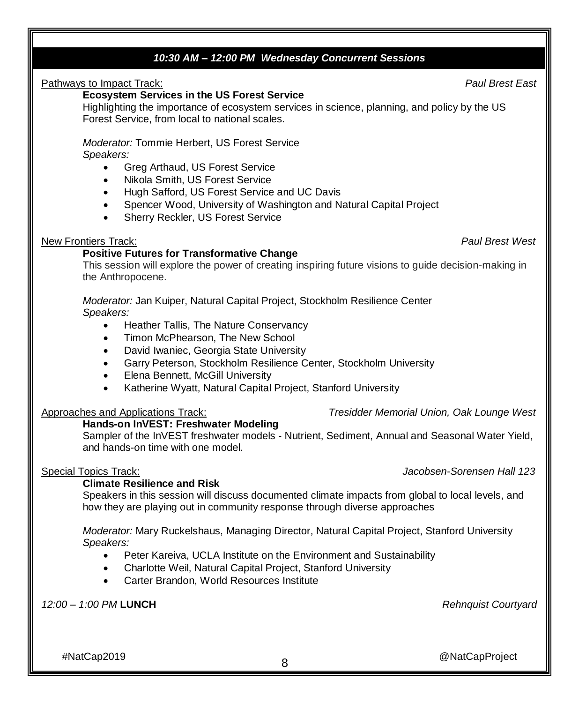#### *10:30 AM – 12:00 PM Wednesday Concurrent Sessions*

Pathways to Impact Track: *Paul Brest East*

#### **Ecosystem Services in the US Forest Service**

Highlighting the importance of ecosystem services in science, planning, and policy by the US Forest Service, from local to national scales.

*Moderator:* Tommie Herbert, US Forest Service *Speakers:*

- Greg Arthaud, US Forest Service
- Nikola Smith, US Forest Service
- Hugh Safford, US Forest Service and UC Davis
- Spencer Wood, University of Washington and Natural Capital Project
- Sherry Reckler, US Forest Service

#### New Frontiers Track: *Paul Brest West*

#### **Positive Futures for Transformative Change**

This session will explore the power of creating inspiring future visions to guide decision-making in the Anthropocene.

*Moderator:* Jan Kuiper, Natural Capital Project, Stockholm Resilience Center *Speakers:* 

- Heather Tallis, The Nature Conservancy
- Timon McPhearson, The New School
- David Iwaniec, Georgia State University
- Garry Peterson, Stockholm Resilience Center, Stockholm University
- Elena Bennett, McGill University
- Katherine Wyatt, Natural Capital Project, Stanford University

#### Approaches and Applications Track: *Tresidder Memorial Union, Oak Lounge West*

#### **Hands-on InVEST: Freshwater Modeling**

Sampler of the InVEST freshwater models - Nutrient, Sediment, Annual and Seasonal Water Yield, and hands-on time with one model.

### Special Topics Track: *Jacobsen-Sorensen Hall 123*

#### **Climate Resilience and Risk**

Speakers in this session will discuss documented climate impacts from global to local levels, and how they are playing out in community response through diverse approaches

*Moderator:* Mary Ruckelshaus, Managing Director, Natural Capital Project, Stanford University *Speakers:* 

- Peter Kareiva, UCLA Institute on the Environment and Sustainability
- Charlotte Weil, Natural Capital Project, Stanford University
- Carter Brandon, World Resources Institute

*12:00 – 1:00 PM* **LUNCH** *Rehnquist Courtyard*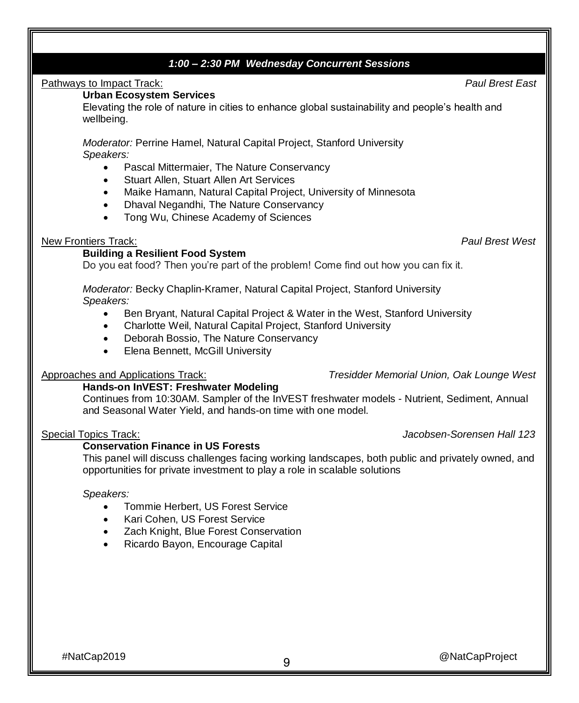#### *1:00 – 2:30 PM Wednesday Concurrent Sessions*

Pathways to Impact Track: *Paul Brest East*

#### **Urban Ecosystem Services**

Elevating the role of nature in cities to enhance global sustainability and people's health and wellbeing.

*Moderator:* Perrine Hamel, Natural Capital Project, Stanford University *Speakers:*

- Pascal Mittermaier, The Nature Conservancy
- Stuart Allen, Stuart Allen Art Services
- Maike Hamann, Natural Capital Project, University of Minnesota
- Dhaval Negandhi, The Nature Conservancy
- Tong Wu, Chinese Academy of Sciences

#### New Frontiers Track: *Paul Brest West*

#### **Building a Resilient Food System**

Do you eat food? Then you're part of the problem! Come find out how you can fix it.

*Moderator:* Becky Chaplin-Kramer, Natural Capital Project, Stanford University *Speakers:* 

- Ben Bryant, Natural Capital Project & Water in the West, Stanford University
- Charlotte Weil, Natural Capital Project, Stanford University
- Deborah Bossio, The Nature Conservancy
- Elena Bennett, McGill University

#### Approaches and Applications Track: *Tresidder Memorial Union, Oak Lounge West*

#### **Hands-on InVEST: Freshwater Modeling**

Continues from 10:30AM. Sampler of the InVEST freshwater models - Nutrient, Sediment, Annual and Seasonal Water Yield, and hands-on time with one model.

#### Special Topics Track: *Jacobsen-Sorensen Hall 123*

#### **Conservation Finance in US Forests**

This panel will discuss challenges facing working landscapes, both public and privately owned, and opportunities for private investment to play a role in scalable solutions

#### *Speakers:*

- Tommie Herbert, US Forest Service
- Kari Cohen, US Forest Service
- Zach Knight, Blue Forest Conservation
- Ricardo Bayon, Encourage Capital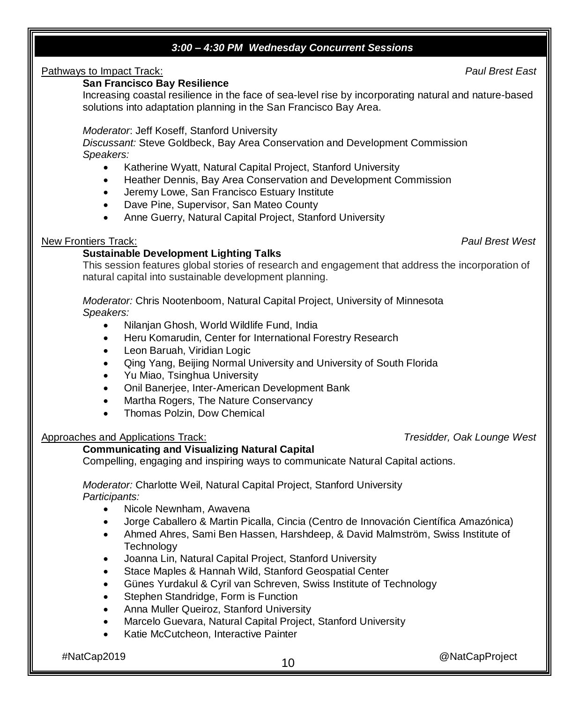# *3:00 – 4:30 PM Wednes day Concurrent Sessions*

#### Pathways to Impact Track: *Paul Brest East*

#### **San Francisco Bay Resilience**

Increasing coastal resilience in the face of sea-level rise by incorporating natural and nature-based solutions into adaptation planning in the San Francisco Bay Area.

*Moderator*: Jeff Koseff, Stanford University

*Discussant:* Steve Goldbeck, Bay Area Conservation and Development Commission *Speakers:*

- Katherine Wyatt, Natural Capital Project, Stanford University
- Heather Dennis, Bay Area Conservation and Development Commission
- Jeremy Lowe, San Francisco Estuary Institute
- Dave Pine, Supervisor, San Mateo County
- Anne Guerry, Natural Capital Project, Stanford University

#### New Frontiers Track: *Paul Brest West*

#### **Sustainable Development Lighting Talks**

This session features global stories of research and engagement that address the incorporation of natural capital into sustainable development planning.

*Moderator:* Chris Nootenboom, Natural Capital Project, University of Minnesota *Speakers:* 

- Nilanjan Ghosh, World Wildlife Fund, India
- Heru Komarudin, Center for International Forestry Research
- Leon Baruah, Viridian Logic
- Qing Yang, Beijing Normal University and University of South Florida
- Yu Miao, Tsinghua University
- Onil Banerjee, Inter-American Development Bank
- Martha Rogers, The Nature Conservancy
- Thomas Polzin, Dow Chemical

#### Approaches and Applications Track: *Tresidder, Oak Lounge West*

#### **Communicating and Visualizing Natural Capital**

Compelling, engaging and inspiring ways to communicate Natural Capital actions.

*Moderator:* Charlotte Weil, Natural Capital Project, Stanford University *Participants:* 

- Nicole Newnham, Awavena
- Jorge Caballero & Martin Picalla, Cincia (Centro de Innovación Científica Amazónica)
- Ahmed Ahres, Sami Ben Hassen, Harshdeep, & David Malmström, Swiss Institute of **Technology**
- Joanna Lin, Natural Capital Project, Stanford University
- Stace Maples & Hannah Wild, Stanford Geospatial Center
- Günes Yurdakul & Cyril van Schreven, Swiss Institute of Technology
- Stephen Standridge, Form is Function
- Anna Muller Queiroz, Stanford University
- Marcelo Guevara, Natural Capital Project, Stanford University
- Katie McCutcheon, Interactive Painter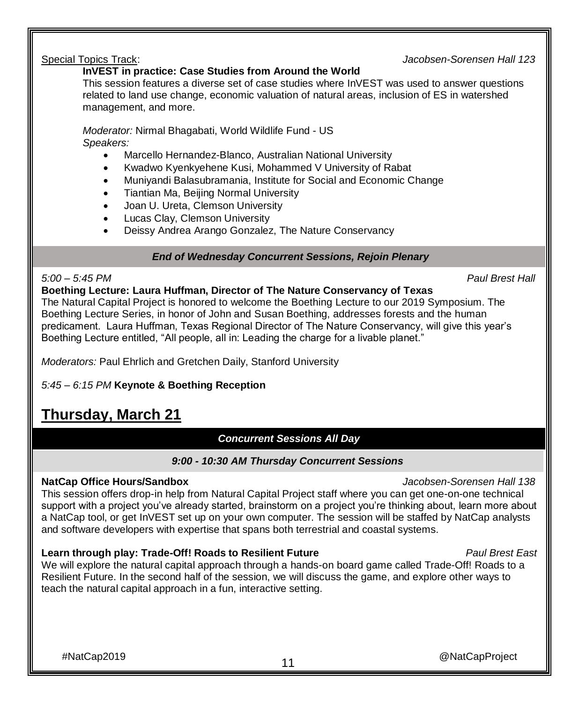#### Special Topics Track: *Jacobsen-Sorensen Hall 123*

#### **InVEST in practice: Case Studies from Around the World**

This session features a diverse set of case studies where InVEST was used to answer questions related to land use change, economic valuation of natural areas, inclusion of ES in watershed management, and more.

*Moderator:* Nirmal Bhagabati, World Wildlife Fund - US *Speakers:* 

- Marcello Hernandez-Blanco, Australian National University
- Kwadwo Kyenkyehene Kusi, Mohammed V University of Rabat
- Muniyandi Balasubramania, Institute for Social and Economic Change
- Tiantian Ma, Beijing Normal University
- Joan U. Ureta, Clemson University
- Lucas Clay, Clemson University
- Deissy Andrea Arango Gonzalez, The Nature Conservancy

#### *End of Wednesday Concurrent Sessions, Rejoin Plenary*

#### *5:00 – 5:45 PM Paul Brest Hall*

#### **Boething Lecture: Laura Huffman, Director of The Nature Conservancy of Texas**

The Natural Capital Project is honored to welcome the Boething Lecture to our 2019 Symposium. The Boething Lecture Series, in honor of John and Susan Boething, addresses forests and the human predicament. Laura Huffman, Texas Regional Director of The Nature Conservancy, will give this year's Boething Lecture entitled, "All people, all in: Leading the charge for a livable planet."

*Moderators:* Paul Ehrlich and Gretchen Daily, Stanford University

*5:45 – 6:15 PM* **Keynote & Boething Reception** 

# **Thursday, March 21**

### *Concurrent Sessions All Day*

### *9:00 – 10:30 AM 9:00 - 10:30 AM Thursday Concurrent Sessions*

#### **NatCap Office Hours/Sandbox** *Jacobsen-Sorensen Hall 138*

This session offers drop-in help from Natural Capital Project staff where you can get one-on-one technical support with a project you've already started, brainstorm on a project you're thinking about, learn more about a NatCap tool, or get InVEST set up on your own computer. The session will be staffed by NatCap analysts and software developers with expertise that spans both terrestrial and coastal systems.

#### **Learn through play: Trade-Off! Roads to Resilient Future** *Paul Brest East*

We will explore the natural capital approach through a hands-on board game called Trade-Off! Roads to a Resilient Future. In the second half of the session, we will discuss the game, and explore other ways to teach the natural capital approach in a fun, interactive setting.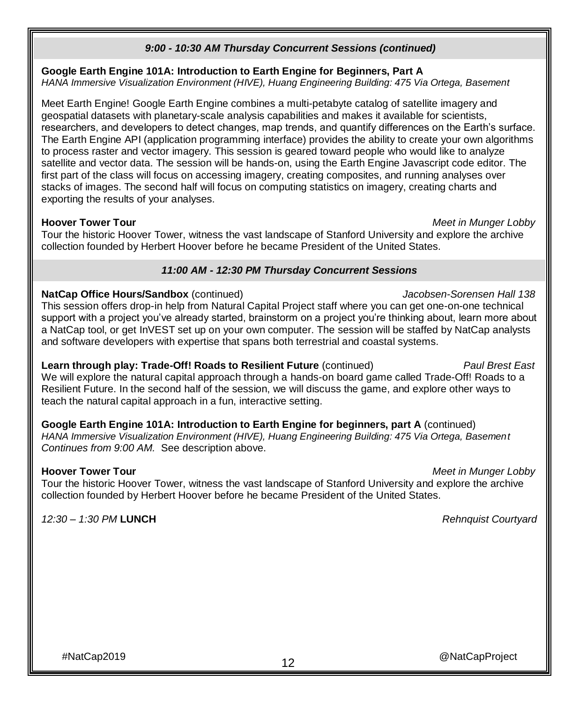#### *9:00 - 10:30 AM Thursday Concurrent Sessions (continued)*

#### **Google Earth Engine 101A: Introduction to Earth Engine for Beginners, Part A**

*HANA Immersive Visualization Environment (HIVE), Huang Engineering Building: 475 Via Ortega, Basement*

Meet Earth Engine! Google Earth Engine combines a multi-petabyte catalog of satellite imagery and geospatial datasets with planetary-scale analysis capabilities and makes it available for scientists, researchers, and developers to detect changes, map trends, and quantify differences on the Earth's surface. The Earth Engine API (application programming interface) provides the ability to create your own algorithms to process raster and vector imagery. This session is geared toward people who would like to analyze satellite and vector data. The session will be hands-on, using the Earth Engine Javascript code editor. The first part of the class will focus on accessing imagery, creating composites, and running analyses over stacks of images. The second half will focus on computing statistics on imagery, creating charts and exporting the results of your analyses.

**Hoover Tower Tour** *Meet in Munger Lobby*

Tour the historic Hoover Tower, witness the vast landscape of Stanford University and explore the archive collection founded by Herbert Hoover before he became President of the United States.

### *11:00 AM – 12:30 PM 11:00 AM - 12:30 PM Thursday Concurrent Sessions*

#### **NatCap Office Hours/Sandbox** (continued)*Jacobsen-Sorensen Hall 138*

This session offers drop-in help from Natural Capital Project staff where you can get one-on-one technical support with a project you've already started, brainstorm on a project you're thinking about, learn more about a NatCap tool, or get InVEST set up on your own computer. The session will be staffed by NatCap analysts and software developers with expertise that spans both terrestrial and coastal systems.

**Learn through play: Trade-Off! Roads to Resilient Future** (continued) *Paul Brest East* We will explore the natural capital approach through a hands-on board game called Trade-Off! Roads to a Resilient Future. In the second half of the session, we will discuss the game, and explore other ways to teach the natural capital approach in a fun, interactive setting.

**Google Earth Engine 101A: Introduction to Earth Engine for beginners, part A** (continued) *HANA Immersive Visualization Environment (HIVE), Huang Engineering Building: 475 Via Ortega, Basement Continues from 9:00 AM.* See description above.

### **Hoover Tower Tour** *Meet in Munger Lobby*

Tour the historic Hoover Tower, witness the vast landscape of Stanford University and explore the archive collection founded by Herbert Hoover before he became President of the United States.

*12:30 – 1:30 PM* **LUNCH** *Rehnquist Courtyard*